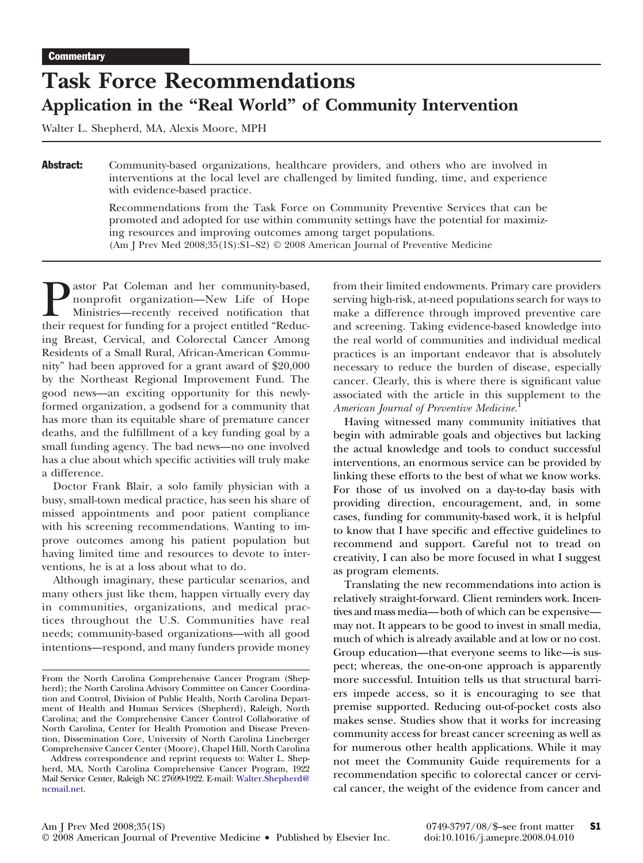## **Task Force Recommendations Application in the "Real World" of Community Intervention**

Walter L. Shepherd, MA, Alexis Moore, MPH

**Abstract:** Community-based organizations, healthcare providers, and others who are involved in interventions at the local level are challenged by limited funding, time, and experience with evidence-based practice.

> Recommendations from the Task Force on Community Preventive Services that can be promoted and adopted for use within community settings have the potential for maximizing resources and improving outcomes among target populations. (Am J Prev Med 2008;35(1S):S1–S2) © 2008 American Journal of Preventive Medicine

**Pastor Pat Coleman and her community-based,** nonprofit organization—New Life of Hope Ministries—recently received notification that their request for funding for a project entitled "Reducnonprofit organization—New Life of Hope Ministries—recently received notification that ing Breast, Cervical, and Colorectal Cancer Among Residents of a Small Rural, African-American Community" had been approved for a grant award of \$20,000 by the Northeast Regional Improvement Fund. The good news—an exciting opportunity for this newlyformed organization, a godsend for a community that has more than its equitable share of premature cancer deaths, and the fulfillment of a key funding goal by a small funding agency. The bad news—no one involved has a clue about which specific activities will truly make a difference.

Doctor Frank Blair, a solo family physician with a busy, small-town medical practice, has seen his share of missed appointments and poor patient compliance with his screening recommendations. Wanting to improve outcomes among his patient population but having limited time and resources to devote to interventions, he is at a loss about what to do.

Although imaginary, these particular scenarios, and many others just like them, happen virtually every day in communities, organizations, and medical practices throughout the U.S. Communities have real needs; community-based organizations—with all good intentions—respond, and many funders provide money from their limited endowments. Primary care providers serving high-risk, at-need populations search for ways to make a difference through improved preventive care and screening. Taking evidence-based knowledge into the real world of communities and individual medical practices is an important endeavor that is absolutely necessary to reduce the burden of disease, especially cancer. Clearly, this is where there is significant value associated with the article in this supplement to the *American Journal of Preventive Medicine*. [1](#page-1-0)

Having witnessed many community initiatives that begin with admirable goals and objectives but lacking the actual knowledge and tools to conduct successful interventions, an enormous service can be provided by linking these efforts to the best of what we know works. For those of us involved on a day-to-day basis with providing direction, encouragement, and, in some cases, funding for community-based work, it is helpful to know that I have specific and effective guidelines to recommend and support. Careful not to tread on creativity, I can also be more focused in what I suggest as program elements.

Translating the new recommendations into action is relatively straight-forward. Client reminders work. Incentives and mass media—both of which can be expensive may not. It appears to be good to invest in small media, much of which is already available and at low or no cost. Group education—that everyone seems to like—is suspect; whereas, the one-on-one approach is apparently more successful. Intuition tells us that structural barriers impede access, so it is encouraging to see that premise supported. Reducing out-of-pocket costs also makes sense. Studies show that it works for increasing community access for breast cancer screening as well as for numerous other health applications. While it may not meet the Community Guide requirements for a recommendation specific to colorectal cancer or cervical cancer, the weight of the evidence from cancer and

From the North Carolina Comprehensive Cancer Program (Shepherd); the North Carolina Advisory Committee on Cancer Coordination and Control, Division of Public Health, North Carolina Department of Health and Human Services (Shepherd), Raleigh, North Carolina; and the Comprehensive Cancer Control Collaborative of North Carolina, Center for Health Promotion and Disease Prevention, Dissemination Core, University of North Carolina Lineberger Comprehensive Cancer Center (Moore), Chapel Hill, North Carolina

Address correspondence and reprint requests to: Walter L. Shepherd, MA, North Carolina Comprehensive Cancer Program, 1922 Mail Service Center, Raleigh NC 27699-1922. E-mail: [Walter.Shepherd@](mailto:Walter.Shepherd@ncmail.net) [ncmail.net.](mailto:Walter.Shepherd@ncmail.net)